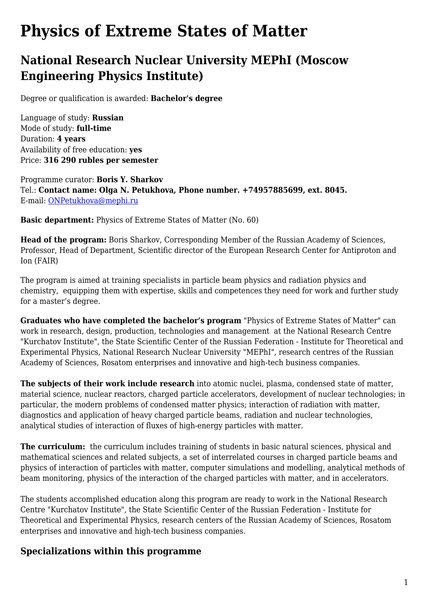## **Physics of Extreme States of Matter**

## **National Research Nuclear University MEPhI (Moscow Engineering Physics Institute)**

Degree or qualification is awarded: **Bachelor's degree**

Language of study: **Russian** Mode of study: **full-time** Duration: **4 years** Availability of free education: **yes** Price: **316 290 rubles per semester**

Programme curator: **Boris Y. Sharkov** Tel.: **Contact name: Olga N. Petukhova, Phone number. +74957885699, ext. 8045.** E-mail: [ONPetukhova@mephi.ru](mailto:ONPetukhova@mephi.ru)

**Basic department:** Physics of Extreme States of Matter (No. 60)

**Head of the program:** Boris Sharkov, Corresponding Member of the Russian Academy of Sciences, Professor, Head of Department, Scientific director of the European Research Center for Antiproton and Ion (FAIR)

The program is aimed at training specialists in particle beam physics and radiation physics and chemistry, equipping them with expertise, skills and competences they need for work and further study for a master's degree.

**Graduates who have completed the bachelor's program** "Physics of Extreme States of Matter" can work in research, design, production, technologies and management at the National Research Centre "Kurchatov Institute", the State Scientific Center of the Russian Federation - Institute for Theoretical and Experimental Physics, National Research Nuclear University "MEPhI", research centres of the Russian Academy of Sciences, Rosatom enterprises and innovative and high-tech business companies.

**The subjects of their work include research** into atomic nuclei, plasma, condensed state of matter, material science, nuclear reactors, charged particle accelerators, development of nuclear technologies; in particular, the modern problems of condensed matter physics; interaction of radiation with matter, diagnostics and application of heavy charged particle beams, radiation and nuclear technologies, analytical studies of interaction of fluxes of high-energy particles with matter.

**The curriculum:** the curriculum includes training of students in basic natural sciences, physical and mathematical sciences and related subjects, a set of interrelated courses in charged particle beams and physics of interaction of particles with matter, computer simulations and modelling, analytical methods of beam monitoring, physics of the interaction of the charged particles with matter, and in accelerators.

The students accomplished education along this program are ready to work in the National Research Centre "Kurchatov Institute", the State Scientific Center of the Russian Federation - Institute for Theoretical and Experimental Physics, research centers of the Russian Academy of Sciences, Rosatom enterprises and innovative and high-tech business companies.

## **Specializations within this programme**